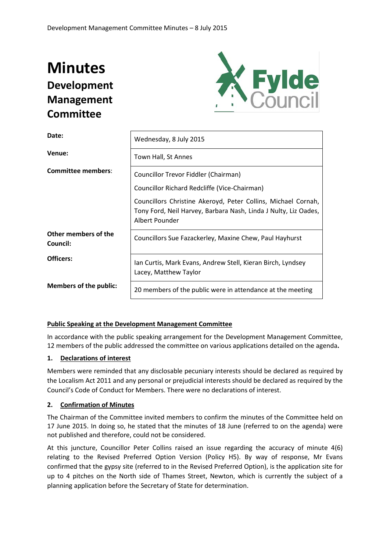# **Minutes Development Management Committee**



| Date:                            | Wednesday, 8 July 2015                                                                                                                             |  |  |
|----------------------------------|----------------------------------------------------------------------------------------------------------------------------------------------------|--|--|
| Venue:                           | Town Hall, St Annes                                                                                                                                |  |  |
| <b>Committee members:</b>        | Councillor Trevor Fiddler (Chairman)                                                                                                               |  |  |
|                                  | Councillor Richard Redcliffe (Vice-Chairman)                                                                                                       |  |  |
|                                  | Councillors Christine Akeroyd, Peter Collins, Michael Cornah,<br>Tony Ford, Neil Harvey, Barbara Nash, Linda J Nulty, Liz Oades,<br>Albert Pounder |  |  |
| Other members of the<br>Council: | Councillors Sue Fazackerley, Maxine Chew, Paul Hayhurst                                                                                            |  |  |
| Officers:                        | Ian Curtis, Mark Evans, Andrew Stell, Kieran Birch, Lyndsey<br>Lacey, Matthew Taylor                                                               |  |  |
| <b>Members of the public:</b>    | 20 members of the public were in attendance at the meeting                                                                                         |  |  |

## **Public Speaking at the Development Management Committee**

In accordance with the public speaking arrangement for the Development Management Committee, 12 members of the public addressed the committee on various applications detailed on the agenda**.** 

## **1. Declarations of interest**

Members were reminded that any disclosable pecuniary interests should be declared as required by the Localism Act 2011 and any personal or prejudicial interests should be declared as required by the Council's Code of Conduct for Members. There were no declarations of interest.

## **2. Confirmation of Minutes**

The Chairman of the Committee invited members to confirm the minutes of the Committee held on 17 June 2015. In doing so, he stated that the minutes of 18 June (referred to on the agenda) were not published and therefore, could not be considered.

At this juncture, Councillor Peter Collins raised an issue regarding the accuracy of minute 4(6) relating to the Revised Preferred Option Version (Policy H5). By way of response, Mr Evans confirmed that the gypsy site (referred to in the Revised Preferred Option), is the application site for up to 4 pitches on the North side of Thames Street, Newton, which is currently the subject of a planning application before the Secretary of State for determination.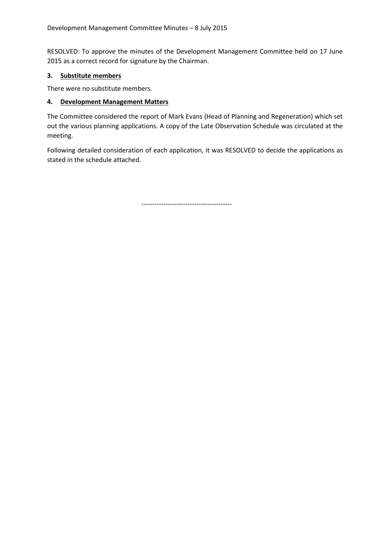RESOLVED: To approve the minutes of the Development Management Committee held on 17 June 2015 as a correct record for signature by the Chairman.

## **3. Substitute members**

There were no substitute members.

## **4. Development Management Matters**

The Committee considered the report of Mark Evans (Head of Planning and Regeneration) which set out the various planning applications. A copy of the Late Observation Schedule was circulated at the meeting.

Following detailed consideration of each application, it was RESOLVED to decide the applications as stated in the schedule attached.

-----------------------------------------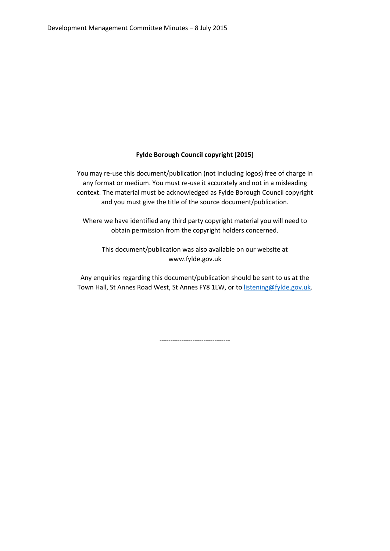## **Fylde Borough Council copyright [2015]**

You may re-use this document/publication (not including logos) free of charge in any format or medium. You must re-use it accurately and not in a misleading context. The material must be acknowledged as Fylde Borough Council copyright and you must give the title of the source document/publication.

Where we have identified any third party copyright material you will need to obtain permission from the copyright holders concerned.

This document/publication was also available on our website at www.fylde.gov.uk

Any enquiries regarding this document/publication should be sent to us at the Town Hall, St Annes Road West, St Annes FY8 1LW, or to [listening@fylde.gov.uk.](mailto:listening@fylde.gov.uk)

--------------------------------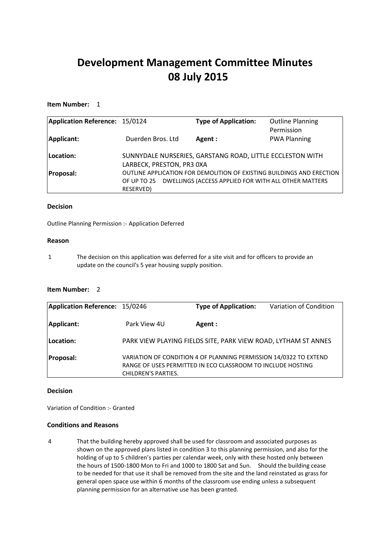## **Development Management Committee Minutes 08 July 2015**

#### **Item Number:** 1

| Application Reference: 15/0124 |                           | <b>Type of Application:</b>                                                                                                   | <b>Outline Planning</b><br>Permission |
|--------------------------------|---------------------------|-------------------------------------------------------------------------------------------------------------------------------|---------------------------------------|
| Applicant:                     | Duerden Bros. Ltd         | Agent:                                                                                                                        | <b>PWA Planning</b>                   |
| Location:                      | LARBECK, PRESTON, PR3 0XA | SUNNYDALE NURSERIES, GARSTANG ROAD, LITTLE ECCLESTON WITH                                                                     |                                       |
| <b>Proposal:</b>               | OF UP TO 25<br>RESERVED)  | OUTLINE APPLICATION FOR DEMOLITION OF EXISTING BUILDINGS AND ERECTION<br>DWELLINGS (ACCESS APPLIED FOR WITH ALL OTHER MATTERS |                                       |

#### **Decision**

Outline Planning Permission :- Application Deferred

#### **Reason**

1 The decision on this application was deferred for a site visit and for officers to provide an update on the council's 5 year housing supply position.

#### **Item Number:** 2

| Application Reference: 15/0246 |                            | <b>Type of Application:</b>                                                                                                      | Variation of Condition |
|--------------------------------|----------------------------|----------------------------------------------------------------------------------------------------------------------------------|------------------------|
| Applicant:                     | Park View 4U               | Agent:                                                                                                                           |                        |
| Location:                      |                            | PARK VIEW PLAYING FIELDS SITE, PARK VIEW ROAD, LYTHAM ST ANNES                                                                   |                        |
| <b>Proposal:</b>               | <b>CHILDREN'S PARTIES.</b> | VARIATION OF CONDITION 4 OF PLANNING PERMISSION 14/0322 TO EXTEND<br>RANGE OF USES PERMITTED IN ECO CLASSROOM TO INCLUDE HOSTING |                        |

#### **Decision**

Variation of Condition :- Granted

#### **Conditions and Reasons**

4 That the building hereby approved shall be used for classroom and associated purposes as shown on the approved plans listed in condition 3 to this planning permission, and also for the holding of up to 5 children's parties per calendar week, only with these hosted only between the hours of 1500-1800 Mon to Fri and 1000 to 1800 Sat and Sun. Should the building cease to be needed for that use it shall be removed from the site and the land reinstated as grass for general open space use within 6 months of the classroom use ending unless a subsequent planning permission for an alternative use has been granted.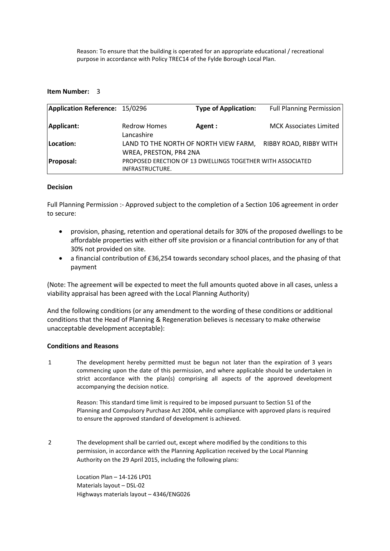Reason: To ensure that the building is operated for an appropriate educational / recreational purpose in accordance with Policy TREC14 of the Fylde Borough Local Plan.

#### **Item Number:** 3

| Application Reference: 15/0296 |                                                                               | <b>Type of Application:</b> | <b>Full Planning Permission</b> |
|--------------------------------|-------------------------------------------------------------------------------|-----------------------------|---------------------------------|
| Applicant:                     | <b>Redrow Homes</b><br>Lancashire                                             | Agent :                     | <b>MCK Associates Limited</b>   |
| Location:                      | LAND TO THE NORTH OF NORTH VIEW FARM,<br>WREA, PRESTON, PR4 2NA               |                             | RIBBY ROAD, RIBBY WITH          |
| <b>Proposal:</b>               | PROPOSED ERECTION OF 13 DWELLINGS TOGETHER WITH ASSOCIATED<br>INFRASTRUCTURE. |                             |                                 |

#### **Decision**

Full Planning Permission :- Approved subject to the completion of a Section 106 agreement in order to secure:

- provision, phasing, retention and operational details for 30% of the proposed dwellings to be affordable properties with either off site provision or a financial contribution for any of that 30% not provided on site.
- a financial contribution of £36,254 towards secondary school places, and the phasing of that payment

(Note: The agreement will be expected to meet the full amounts quoted above in all cases, unless a viability appraisal has been agreed with the Local Planning Authority)

And the following conditions (or any amendment to the wording of these conditions or additional conditions that the Head of Planning & Regeneration believes is necessary to make otherwise unacceptable development acceptable):

#### **Conditions and Reasons**

1 The development hereby permitted must be begun not later than the expiration of 3 years commencing upon the date of this permission, and where applicable should be undertaken in strict accordance with the plan(s) comprising all aspects of the approved development accompanying the decision notice.

> Reason: This standard time limit is required to be imposed pursuant to Section 51 of the Planning and Compulsory Purchase Act 2004, while compliance with approved plans is required to ensure the approved standard of development is achieved.

2 The development shall be carried out, except where modified by the conditions to this permission, in accordance with the Planning Application received by the Local Planning Authority on the 29 April 2015, including the following plans:

> Location Plan – 14-126 LP01 Materials layout – DSL-02 Highways materials layout – 4346/ENG026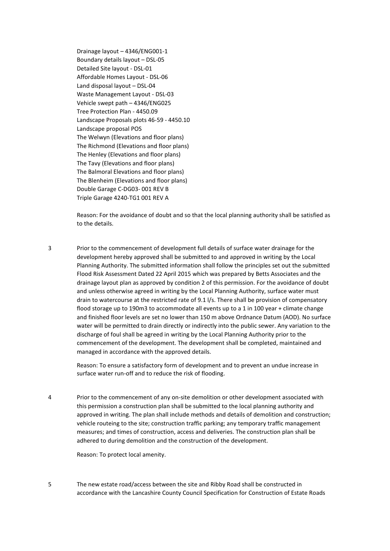Drainage layout – 4346/ENG001-1 Boundary details layout – DSL-05 Detailed Site layout - DSL-01 Affordable Homes Layout - DSL-06 Land disposal layout – DSL-04 Waste Management Layout - DSL-03 Vehicle swept path – 4346/ENG025 Tree Protection Plan - 4450.09 Landscape Proposals plots 46-59 - 4450.10 Landscape proposal POS The Welwyn (Elevations and floor plans) The Richmond (Elevations and floor plans) The Henley (Elevations and floor plans) The Tavy (Elevations and floor plans) The Balmoral Elevations and floor plans) The Blenheim (Elevations and floor plans) Double Garage C-DG03- 001 REV B Triple Garage 4240-TG1 001 REV A

Reason: For the avoidance of doubt and so that the local planning authority shall be satisfied as to the details.

3 Prior to the commencement of development full details of surface water drainage for the development hereby approved shall be submitted to and approved in writing by the Local Planning Authority. The submitted information shall follow the principles set out the submitted Flood Risk Assessment Dated 22 April 2015 which was prepared by Betts Associates and the drainage layout plan as approved by condition 2 of this permission. For the avoidance of doubt and unless otherwise agreed in writing by the Local Planning Authority, surface water must drain to watercourse at the restricted rate of 9.1 l/s. There shall be provision of compensatory flood storage up to 190m3 to accommodate all events up to a 1 in 100 year + climate change and finished floor levels are set no lower than 150 m above Ordnance Datum (AOD). No surface water will be permitted to drain directly or indirectly into the public sewer. Any variation to the discharge of foul shall be agreed in writing by the Local Planning Authority prior to the commencement of the development. The development shall be completed, maintained and managed in accordance with the approved details.

Reason: To ensure a satisfactory form of development and to prevent an undue increase in surface water run-off and to reduce the risk of flooding.

4 Prior to the commencement of any on-site demolition or other development associated with this permission a construction plan shall be submitted to the local planning authority and approved in writing. The plan shall include methods and details of demolition and construction; vehicle routeing to the site; construction traffic parking; any temporary traffic management measures; and times of construction, access and deliveries. The construction plan shall be adhered to during demolition and the construction of the development.

Reason: To protect local amenity.

5 The new estate road/access between the site and Ribby Road shall be constructed in accordance with the Lancashire County Council Specification for Construction of Estate Roads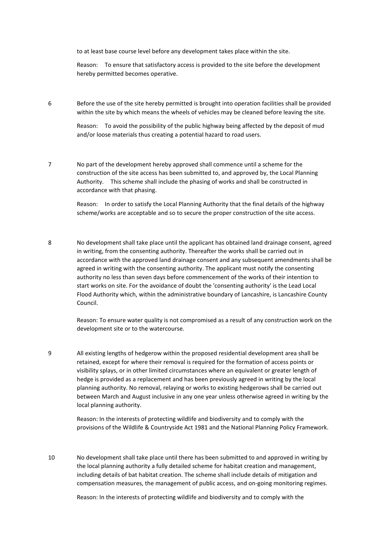to at least base course level before any development takes place within the site.

Reason: To ensure that satisfactory access is provided to the site before the development hereby permitted becomes operative.

6 Before the use of the site hereby permitted is brought into operation facilities shall be provided within the site by which means the wheels of vehicles may be cleaned before leaving the site.

> Reason: To avoid the possibility of the public highway being affected by the deposit of mud and/or loose materials thus creating a potential hazard to road users.

7 No part of the development hereby approved shall commence until a scheme for the construction of the site access has been submitted to, and approved by, the Local Planning Authority. This scheme shall include the phasing of works and shall be constructed in accordance with that phasing.

> Reason: In order to satisfy the Local Planning Authority that the final details of the highway scheme/works are acceptable and so to secure the proper construction of the site access.

8 No development shall take place until the applicant has obtained land drainage consent, agreed in writing, from the consenting authority. Thereafter the works shall be carried out in accordance with the approved land drainage consent and any subsequent amendments shall be agreed in writing with the consenting authority. The applicant must notify the consenting authority no less than seven days before commencement of the works of their intention to start works on site. For the avoidance of doubt the 'consenting authority' is the Lead Local Flood Authority which, within the administrative boundary of Lancashire, is Lancashire County Council.

> Reason: To ensure water quality is not compromised as a result of any construction work on the development site or to the watercourse.

9 All existing lengths of hedgerow within the proposed residential development area shall be retained, except for where their removal is required for the formation of access points or visibility splays, or in other limited circumstances where an equivalent or greater length of hedge is provided as a replacement and has been previously agreed in writing by the local planning authority. No removal, relaying or works to existing hedgerows shall be carried out between March and August inclusive in any one year unless otherwise agreed in writing by the local planning authority.

> Reason: In the interests of protecting wildlife and biodiversity and to comply with the provisions of the Wildlife & Countryside Act 1981 and the National Planning Policy Framework.

10 No development shall take place until there has been submitted to and approved in writing by the local planning authority a fully detailed scheme for habitat creation and management, including details of bat habitat creation. The scheme shall include details of mitigation and compensation measures, the management of public access, and on-going monitoring regimes.

Reason: In the interests of protecting wildlife and biodiversity and to comply with the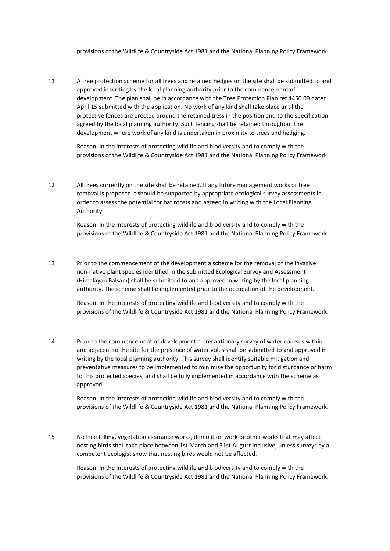provisions of the Wildlife & Countryside Act 1981 and the National Planning Policy Framework.

11 A tree protection scheme for all trees and retained hedges on the site shall be submitted to and approved in writing by the local planning authority prior to the commencement of development. The plan shall be in accordance with the Tree Protection Plan ref 4450.09 dated April 15 submitted with the application. No work of any kind shall take place until the protective fences are erected around the retained tress in the position and to the specification agreed by the local planning authority. Such fencing shall be retained throughout the development where work of any kind is undertaken in proximity to trees and hedging.

Reason: In the interests of protecting wildlife and biodiversity and to comply with the provisions of the Wildlife & Countryside Act 1981 and the National Planning Policy Framework.

12 All trees currently on the site shall be retained. If any future management works or tree removal is proposed it should be supported by appropriate ecological survey assessments in order to assess the potential for bat roosts and agreed in writing with the Local Planning Authority.

> Reason: In the interests of protecting wildlife and biodiversity and to comply with the provisions of the Wildlife & Countryside Act 1981 and the National Planning Policy Framework.

13 Prior to the commencement of the development a scheme for the removal of the invasive non-native plant species identified in the submitted Ecological Survey and Assessment (Himalayan Balsam) shall be submitted to and approved in writing by the local planning authority. The scheme shall be implemented prior to the occupation of the development.

> Reason: In the interests of protecting wildlife and biodiversity and to comply with the provisions of the Wildlife & Countryside Act 1981 and the National Planning Policy Framework.

14 Prior to the commencement of development a precautionary survey of water courses within and adjacent to the site for the presence of water voles shall be submitted to and approved in writing by the local planning authority. This survey shall identify suitable mitigation and preventative measures to be implemented to minimise the opportunity for disturbance or harm to this protected species, and shall be fully implemented in accordance with the scheme as approved.

> Reason: In the interests of protecting wildlife and biodiversity and to comply with the provisions of the Wildlife & Countryside Act 1981 and the National Planning Policy Framework.

15 No tree felling, vegetation clearance works, demolition work or other works that may affect nesting birds shall take place between 1st March and 31st August inclusive, unless surveys by a competent ecologist show that nesting birds would not be affected.

> Reason: In the interests of protecting wildlife and biodiversity and to comply with the provisions of the Wildlife & Countryside Act 1981 and the National Planning Policy Framework.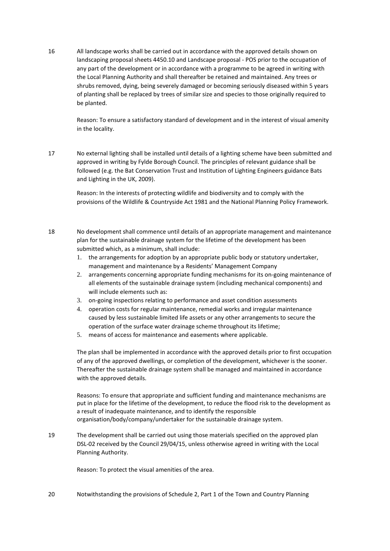16 All landscape works shall be carried out in accordance with the approved details shown on landscaping proposal sheets 4450.10 and Landscape proposal - POS prior to the occupation of any part of the development or in accordance with a programme to be agreed in writing with the Local Planning Authority and shall thereafter be retained and maintained. Any trees or shrubs removed, dying, being severely damaged or becoming seriously diseased within 5 years of planting shall be replaced by trees of similar size and species to those originally required to be planted.

> Reason: To ensure a satisfactory standard of development and in the interest of visual amenity in the locality.

17 No external lighting shall be installed until details of a lighting scheme have been submitted and approved in writing by Fylde Borough Council. The principles of relevant guidance shall be followed (e.g. the Bat Conservation Trust and Institution of Lighting Engineers guidance Bats and Lighting in the UK, 2009).

> Reason: In the interests of protecting wildlife and biodiversity and to comply with the provisions of the Wildlife & Countryside Act 1981 and the National Planning Policy Framework.

- 18 No development shall commence until details of an appropriate management and maintenance plan for the sustainable drainage system for the lifetime of the development has been submitted which, as a minimum, shall include:
	- 1. the arrangements for adoption by an appropriate public body or statutory undertaker, management and maintenance by a Residents' Management Company
	- 2. arrangements concerning appropriate funding mechanisms for its on-going maintenance of all elements of the sustainable drainage system (including mechanical components) and will include elements such as:
	- 3. on-going inspections relating to performance and asset condition assessments
	- 4. operation costs for regular maintenance, remedial works and irregular maintenance caused by less sustainable limited life assets or any other arrangements to secure the operation of the surface water drainage scheme throughout its lifetime;
	- 5. means of access for maintenance and easements where applicable.

The plan shall be implemented in accordance with the approved details prior to first occupation of any of the approved dwellings, or completion of the development, whichever is the sooner. Thereafter the sustainable drainage system shall be managed and maintained in accordance with the approved details.

Reasons: To ensure that appropriate and sufficient funding and maintenance mechanisms are put in place for the lifetime of the development, to reduce the flood risk to the development as a result of inadequate maintenance, and to identify the responsible organisation/body/company/undertaker for the sustainable drainage system.

19 The development shall be carried out using those materials specified on the approved plan DSL-02 received by the Council 29/04/15, unless otherwise agreed in writing with the Local Planning Authority.

Reason: To protect the visual amenities of the area.

20 Notwithstanding the provisions of Schedule 2, Part 1 of the Town and Country Planning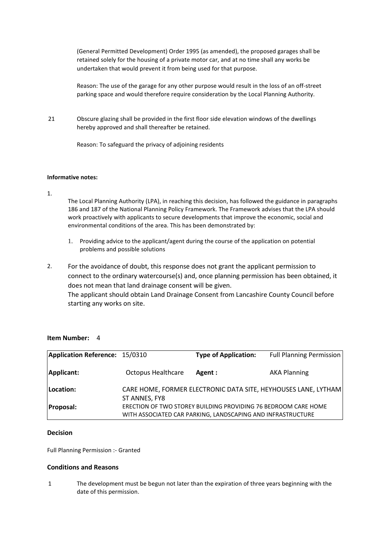(General Permitted Development) Order 1995 (as amended), the proposed garages shall be retained solely for the housing of a private motor car, and at no time shall any works be undertaken that would prevent it from being used for that purpose.

Reason: The use of the garage for any other purpose would result in the loss of an off-street parking space and would therefore require consideration by the Local Planning Authority.

21 Obscure glazing shall be provided in the first floor side elevation windows of the dwellings hereby approved and shall thereafter be retained.

Reason: To safeguard the privacy of adjoining residents

#### **Informative notes:**

1.

The Local Planning Authority (LPA), in reaching this decision, has followed the guidance in paragraphs 186 and 187 of the National Planning Policy Framework. The Framework advises that the LPA should work proactively with applicants to secure developments that improve the economic, social and environmental conditions of the area. This has been demonstrated by:

- 1. Providing advice to the applicant/agent during the course of the application on potential problems and possible solutions
- 2. For the avoidance of doubt, this response does not grant the applicant permission to connect to the ordinary watercourse(s) and, once planning permission has been obtained, it does not mean that land drainage consent will be given. The applicant should obtain Land Drainage Consent from Lancashire County Council before starting any works on site.

| Application Reference: 15/0310 |                           | <b>Type of Application:</b>                                                                                                   | <b>Full Planning Permission</b>                                |
|--------------------------------|---------------------------|-------------------------------------------------------------------------------------------------------------------------------|----------------------------------------------------------------|
| Applicant:                     | <b>Octopus Healthcare</b> | Agent :                                                                                                                       | <b>AKA Planning</b>                                            |
| Location:                      | ST ANNES, FY8             |                                                                                                                               | CARE HOME, FORMER ELECTRONIC DATA SITE, HEYHOUSES LANE, LYTHAM |
| <b>Proposal:</b>               |                           | ERECTION OF TWO STOREY BUILDING PROVIDING 76 BEDROOM CARE HOME<br>WITH ASSOCIATED CAR PARKING, LANDSCAPING AND INFRASTRUCTURE |                                                                |

#### **Item Number:** 4

#### **Decision**

Full Planning Permission :- Granted

#### **Conditions and Reasons**

1 The development must be begun not later than the expiration of three years beginning with the date of this permission.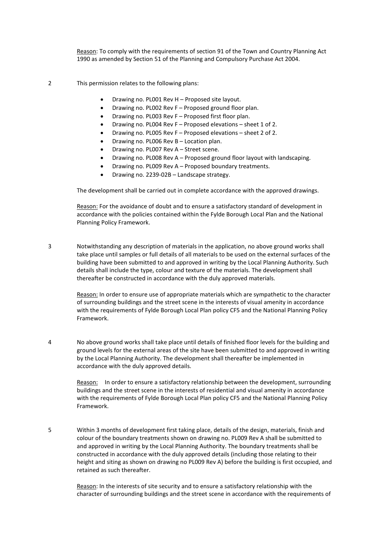Reason: To comply with the requirements of section 91 of the Town and Country Planning Act 1990 as amended by Section 51 of the Planning and Compulsory Purchase Act 2004.

2 This permission relates to the following plans:

- Drawing no. PL001 Rev H Proposed site layout.
- Drawing no. PL002 Rev F Proposed ground floor plan.
- Drawing no. PL003 Rev F Proposed first floor plan.
- Drawing no. PL004 Rev F Proposed elevations sheet 1 of 2.
- Drawing no. PL005 Rev F Proposed elevations sheet 2 of 2.
- Drawing no. PL006 Rev B Location plan.
- Drawing no. PL007 Rev A Street scene.
- Drawing no. PL008 Rev A Proposed ground floor layout with landscaping.
- Drawing no. PL009 Rev A Proposed boundary treatments.
- Drawing no. 2239-02B Landscape strategy.

The development shall be carried out in complete accordance with the approved drawings.

Reason: For the avoidance of doubt and to ensure a satisfactory standard of development in accordance with the policies contained within the Fylde Borough Local Plan and the National Planning Policy Framework.

3 Notwithstanding any description of materials in the application, no above ground works shall take place until samples or full details of all materials to be used on the external surfaces of the building have been submitted to and approved in writing by the Local Planning Authority. Such details shall include the type, colour and texture of the materials. The development shall thereafter be constructed in accordance with the duly approved materials.

> Reason: In order to ensure use of appropriate materials which are sympathetic to the character of surrounding buildings and the street scene in the interests of visual amenity in accordance with the requirements of Fylde Borough Local Plan policy CF5 and the National Planning Policy Framework.

4 No above ground works shall take place until details of finished floor levels for the building and ground levels for the external areas of the site have been submitted to and approved in writing by the Local Planning Authority. The development shall thereafter be implemented in accordance with the duly approved details.

> Reason: In order to ensure a satisfactory relationship between the development, surrounding buildings and the street scene in the interests of residential and visual amenity in accordance with the requirements of Fylde Borough Local Plan policy CF5 and the National Planning Policy Framework.

5 Within 3 months of development first taking place, details of the design, materials, finish and colour of the boundary treatments shown on drawing no. PL009 Rev A shall be submitted to and approved in writing by the Local Planning Authority. The boundary treatments shall be constructed in accordance with the duly approved details (including those relating to their height and siting as shown on drawing no PL009 Rev A) before the building is first occupied, and retained as such thereafter.

Reason: In the interests of site security and to ensure a satisfactory relationship with the character of surrounding buildings and the street scene in accordance with the requirements of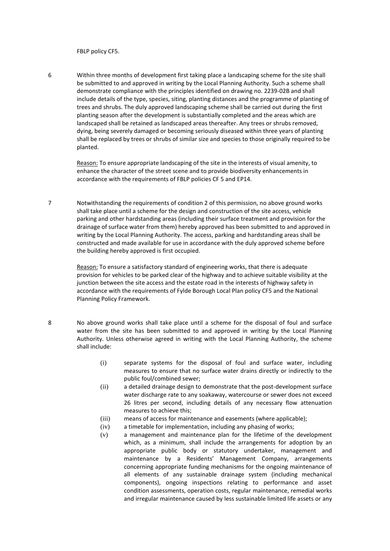FBLP policy CF5.

6 Within three months of development first taking place a landscaping scheme for the site shall be submitted to and approved in writing by the Local Planning Authority. Such a scheme shall demonstrate compliance with the principles identified on drawing no. 2239-02B and shall include details of the type, species, siting, planting distances and the programme of planting of trees and shrubs. The duly approved landscaping scheme shall be carried out during the first planting season after the development is substantially completed and the areas which are landscaped shall be retained as landscaped areas thereafter. Any trees or shrubs removed, dying, being severely damaged or becoming seriously diseased within three years of planting shall be replaced by trees or shrubs of similar size and species to those originally required to be planted.

> Reason: To ensure appropriate landscaping of the site in the interests of visual amenity, to enhance the character of the street scene and to provide biodiversity enhancements in accordance with the requirements of FBLP policies CF 5 and EP14.

7 Notwithstanding the requirements of condition 2 of this permission, no above ground works shall take place until a scheme for the design and construction of the site access, vehicle parking and other hardstanding areas (including their surface treatment and provision for the drainage of surface water from them) hereby approved has been submitted to and approved in writing by the Local Planning Authority. The access, parking and hardstanding areas shall be constructed and made available for use in accordance with the duly approved scheme before the building hereby approved is first occupied.

> Reason: To ensure a satisfactory standard of engineering works, that there is adequate provision for vehicles to be parked clear of the highway and to achieve suitable visibility at the junction between the site access and the estate road in the interests of highway safety in accordance with the requirements of Fylde Borough Local Plan policy CF5 and the National Planning Policy Framework.

- 8 No above ground works shall take place until a scheme for the disposal of foul and surface water from the site has been submitted to and approved in writing by the Local Planning Authority. Unless otherwise agreed in writing with the Local Planning Authority, the scheme shall include:
	- (i) separate systems for the disposal of foul and surface water, including measures to ensure that no surface water drains directly or indirectly to the public foul/combined sewer;
	- (ii) a detailed drainage design to demonstrate that the post-development surface water discharge rate to any soakaway, watercourse or sewer does not exceed 26 litres per second, including details of any necessary flow attenuation measures to achieve this;
	- (iii) means of access for maintenance and easements (where applicable);
	- (iv) a timetable for implementation, including any phasing of works;
	- (v) a management and maintenance plan for the lifetime of the development which, as a minimum, shall include the arrangements for adoption by an appropriate public body or statutory undertaker, management and maintenance by a Residents' Management Company, arrangements concerning appropriate funding mechanisms for the ongoing maintenance of all elements of any sustainable drainage system (including mechanical components), ongoing inspections relating to performance and asset condition assessments, operation costs, regular maintenance, remedial works and irregular maintenance caused by less sustainable limited life assets or any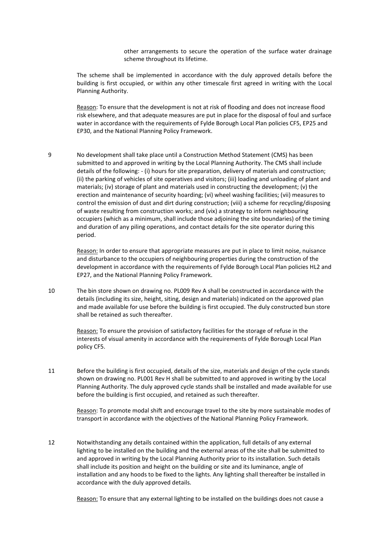other arrangements to secure the operation of the surface water drainage scheme throughout its lifetime.

The scheme shall be implemented in accordance with the duly approved details before the building is first occupied, or within any other timescale first agreed in writing with the Local Planning Authority.

Reason: To ensure that the development is not at risk of flooding and does not increase flood risk elsewhere, and that adequate measures are put in place for the disposal of foul and surface water in accordance with the requirements of Fylde Borough Local Plan policies CF5, EP25 and EP30, and the National Planning Policy Framework.

9 No development shall take place until a Construction Method Statement (CMS) has been submitted to and approved in writing by the Local Planning Authority. The CMS shall include details of the following: - (i) hours for site preparation, delivery of materials and construction; (ii) the parking of vehicles of site operatives and visitors; (iii) loading and unloading of plant and materials; (iv) storage of plant and materials used in constructing the development; (v) the erection and maintenance of security hoarding; (vi) wheel washing facilities; (vii) measures to control the emission of dust and dirt during construction; (viii) a scheme for recycling/disposing of waste resulting from construction works; and (vix) a strategy to inform neighbouring occupiers (which as a minimum, shall include those adjoining the site boundaries) of the timing and duration of any piling operations, and contact details for the site operator during this period.

> Reason: In order to ensure that appropriate measures are put in place to limit noise, nuisance and disturbance to the occupiers of neighbouring properties during the construction of the development in accordance with the requirements of Fylde Borough Local Plan policies HL2 and EP27, and the National Planning Policy Framework.

10 The bin store shown on drawing no. PL009 Rev A shall be constructed in accordance with the details (including its size, height, siting, design and materials) indicated on the approved plan and made available for use before the building is first occupied. The duly constructed bun store shall be retained as such thereafter.

> Reason: To ensure the provision of satisfactory facilities for the storage of refuse in the interests of visual amenity in accordance with the requirements of Fylde Borough Local Plan policy CF5.

11 Before the building is first occupied, details of the size, materials and design of the cycle stands shown on drawing no. PL001 Rev H shall be submitted to and approved in writing by the Local Planning Authority. The duly approved cycle stands shall be installed and made available for use before the building is first occupied, and retained as such thereafter.

> Reason: To promote modal shift and encourage travel to the site by more sustainable modes of transport in accordance with the objectives of the National Planning Policy Framework.

12 Notwithstanding any details contained within the application, full details of any external lighting to be installed on the building and the external areas of the site shall be submitted to and approved in writing by the Local Planning Authority prior to its installation. Such details shall include its position and height on the building or site and its luminance, angle of installation and any hoods to be fixed to the lights. Any lighting shall thereafter be installed in accordance with the duly approved details.

Reason: To ensure that any external lighting to be installed on the buildings does not cause a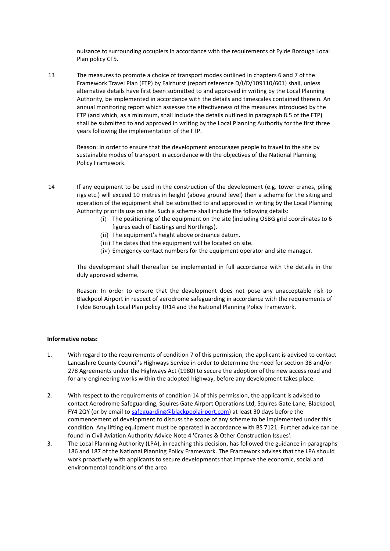nuisance to surrounding occupiers in accordance with the requirements of Fylde Borough Local Plan policy CF5.

13 The measures to promote a choice of transport modes outlined in chapters 6 and 7 of the Framework Travel Plan (FTP) by Fairhurst (report reference D/I/D/109110/601) shall, unless alternative details have first been submitted to and approved in writing by the Local Planning Authority, be implemented in accordance with the details and timescales contained therein. An annual monitoring report which assesses the effectiveness of the measures introduced by the FTP (and which, as a minimum, shall include the details outlined in paragraph 8.5 of the FTP) shall be submitted to and approved in writing by the Local Planning Authority for the first three years following the implementation of the FTP.

Reason: In order to ensure that the development encourages people to travel to the site by sustainable modes of transport in accordance with the objectives of the National Planning Policy Framework.

14 If any equipment to be used in the construction of the development (e.g. tower cranes, piling rigs etc.) will exceed 10 metres in height (above ground level) then a scheme for the siting and operation of the equipment shall be submitted to and approved in writing by the Local Planning Authority prior its use on site. Such a scheme shall include the following details:

- (i) The positioning of the equipment on the site (including OSBG grid coordinates to 6 figures each of Eastings and Northings).
- (ii) The equipment's height above ordnance datum.
- (iii) The dates that the equipment will be located on site.
- (iv) Emergency contact numbers for the equipment operator and site manager.

The development shall thereafter be implemented in full accordance with the details in the duly approved scheme.

Reason: In order to ensure that the development does not pose any unacceptable risk to Blackpool Airport in respect of aerodrome safeguarding in accordance with the requirements of Fylde Borough Local Plan policy TR14 and the National Planning Policy Framework.

#### **Informative notes:**

- 1. With regard to the requirements of condition 7 of this permission, the applicant is advised to contact Lancashire County Council's Highways Service in order to determine the need for section 38 and/or 278 Agreements under the Highways Act (1980) to secure the adoption of the new access road and for any engineering works within the adopted highway, before any development takes place.
- 2. With respect to the requirements of condition 14 of this permission, the applicant is advised to contact Aerodrome Safeguarding, Squires Gate Airport Operations Ltd, Squires Gate Lane, Blackpool, FY4 2QY (or by email to safeguarding@blackpoolairport.com) at least 30 days before the commencement of development to discuss the scope of any scheme to be implemented under this condition. Any lifting equipment must be operated in accordance with BS 7121. Further advice can be found in Civil Aviation Authority Advice Note 4 'Cranes & Other Construction Issues'.
- 3. The Local Planning Authority (LPA), in reaching this decision, has followed the guidance in paragraphs 186 and 187 of the National Planning Policy Framework. The Framework advises that the LPA should work proactively with applicants to secure developments that improve the economic, social and environmental conditions of the area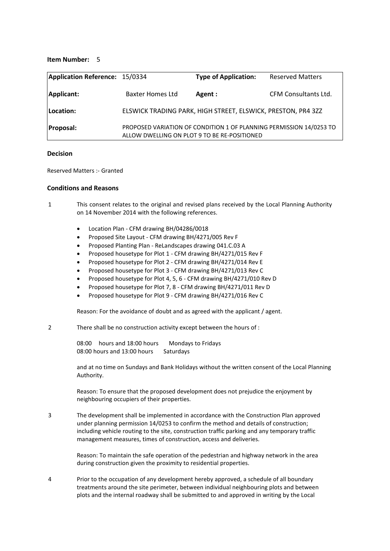#### **Item Number:** 5

| Application Reference: 15/0334 |                                              | <b>Type of Application:</b>                                         | <b>Reserved Matters</b>     |
|--------------------------------|----------------------------------------------|---------------------------------------------------------------------|-----------------------------|
| Applicant:                     | <b>Baxter Homes Ltd</b>                      | Agent :                                                             | <b>CFM Consultants Ltd.</b> |
| Location:                      |                                              | ELSWICK TRADING PARK, HIGH STREET, ELSWICK, PRESTON, PR4 3ZZ        |                             |
| <b>Proposal:</b>               | ALLOW DWELLING ON PLOT 9 TO BE RE-POSITIONED | PROPOSED VARIATION OF CONDITION 1 OF PLANNING PERMISSION 14/0253 TO |                             |

#### **Decision**

Reserved Matters :- Granted

#### **Conditions and Reasons**

1 This consent relates to the original and revised plans received by the Local Planning Authority on 14 November 2014 with the following references.

- Location Plan CFM drawing BH/04286/0018
- Proposed Site Layout CFM drawing BH/4271/005 Rev F
- Proposed Planting Plan ReLandscapes drawing 041.C.03 A
- Proposed housetype for Plot 1 CFM drawing BH/4271/015 Rev F
- Proposed housetype for Plot 2 CFM drawing BH/4271/014 Rev E
- Proposed housetype for Plot 3 CFM drawing BH/4271/013 Rev C
- Proposed housetype for Plot 4, 5, 6 CFM drawing BH/4271/010 Rev D
- Proposed housetype for Plot 7, 8 CFM drawing BH/4271/011 Rev D
- Proposed housetype for Plot 9 CFM drawing BH/4271/016 Rev C

Reason: For the avoidance of doubt and as agreed with the applicant / agent.

2 There shall be no construction activity except between the hours of :

08:00 hours and 18:00 hours Mondays to Fridays 08:00 hours and 13:00 hours Saturdays

and at no time on Sundays and Bank Holidays without the written consent of the Local Planning Authority.

Reason: To ensure that the proposed development does not prejudice the enjoyment by neighbouring occupiers of their properties.

3 The development shall be implemented in accordance with the Construction Plan approved under planning permission 14/0253 to confirm the method and details of construction; including vehicle routing to the site, construction traffic parking and any temporary traffic management measures, times of construction, access and deliveries.

> Reason: To maintain the safe operation of the pedestrian and highway network in the area during construction given the proximity to residential properties.

4 Prior to the occupation of any development hereby approved, a schedule of all boundary treatments around the site perimeter, between individual neighbouring plots and between plots and the internal roadway shall be submitted to and approved in writing by the Local